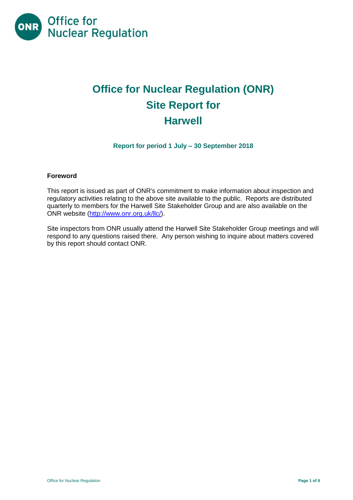

# **Office for Nuclear Regulation (ONR) Site Report for Harwell**

**Report for period 1 July – 30 September 2018**

## **Foreword**

This report is issued as part of ONR's commitment to make information about inspection and regulatory activities relating to the above site available to the public. Reports are distributed quarterly to members for the Harwell Site Stakeholder Group and are also available on the ONR website [\(http://www.onr.org.uk/llc/\)](http://www.onr.org.uk/llc/).

Site inspectors from ONR usually attend the Harwell Site Stakeholder Group meetings and will respond to any questions raised there. Any person wishing to inquire about matters covered by this report should contact ONR.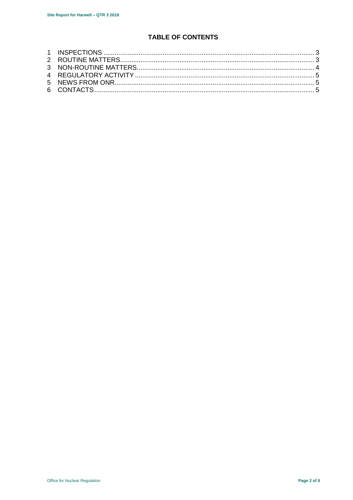## **TABLE OF CONTENTS**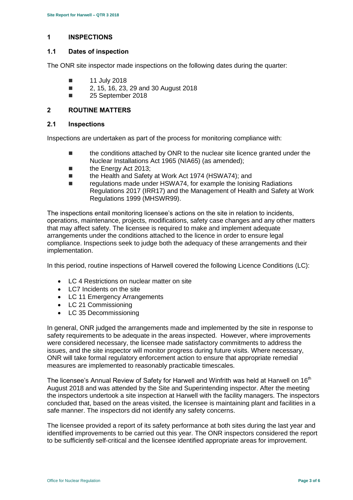## <span id="page-2-0"></span>**1 INSPECTIONS**

## **1.1 Dates of inspection**

The ONR site inspector made inspections on the following dates during the quarter:

- $\blacksquare$  11 July 2018
- 2, 15, 16, 23, 29 and 30 August 2018
- **25 September 2018**

## <span id="page-2-1"></span>**2 ROUTINE MATTERS**

#### **2.1 Inspections**

Inspections are undertaken as part of the process for monitoring compliance with:

- **the conditions attached by ONR to the nuclear site licence granted under the** Nuclear Installations Act 1965 (NIA65) (as amended);
- **the Energy Act 2013:**
- the Health and Safety at Work Act 1974 (HSWA74); and
- regulations made under HSWA74, for example the Ionising Radiations Regulations 2017 (IRR17) and the Management of Health and Safety at Work Regulations 1999 (MHSWR99).

The inspections entail monitoring licensee's actions on the site in relation to incidents, operations, maintenance, projects, modifications, safety case changes and any other matters that may affect safety. The licensee is required to make and implement adequate arrangements under the conditions attached to the licence in order to ensure legal compliance. Inspections seek to judge both the adequacy of these arrangements and their implementation.

In this period, routine inspections of Harwell covered the following Licence Conditions (LC):

- LC 4 Restrictions on nuclear matter on site
- LC7 Incidents on the site
- LC 11 Emergency Arrangements
- LC 21 Commissioning
- LC 35 Decommissioning

In general, ONR judged the arrangements made and implemented by the site in response to safety requirements to be adequate in the areas inspected. However, where improvements were considered necessary, the licensee made satisfactory commitments to address the issues, and the site inspector will monitor progress during future visits. Where necessary, ONR will take formal regulatory enforcement action to ensure that appropriate remedial measures are implemented to reasonably practicable timescales.

The licensee's Annual Review of Safety for Harwell and Winfrith was held at Harwell on 16<sup>th</sup> August 2018 and was attended by the Site and Superintending inspector. After the meeting the inspectors undertook a site inspection at Harwell with the facility managers. The inspectors concluded that, based on the areas visited, the licensee is maintaining plant and facilities in a safe manner. The inspectors did not identify any safety concerns.

The licensee provided a report of its safety performance at both sites during the last year and identified improvements to be carried out this year. The ONR inspectors considered the report to be sufficiently self-critical and the licensee identified appropriate areas for improvement.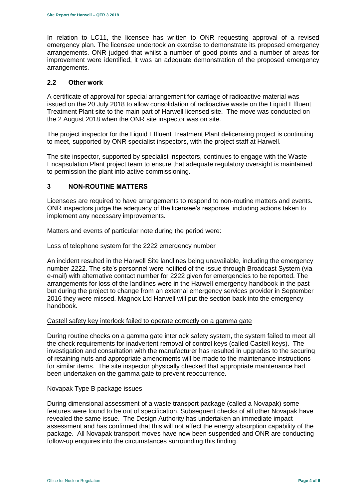In relation to LC11, the licensee has written to ONR requesting approval of a revised emergency plan. The licensee undertook an exercise to demonstrate its proposed emergency arrangements. ONR judged that whilst a number of good points and a number of areas for improvement were identified, it was an adequate demonstration of the proposed emergency arrangements.

## **2.2 Other work**

A certificate of approval for special arrangement for carriage of radioactive material was issued on the 20 July 2018 to allow consolidation of radioactive waste on the Liquid Effluent Treatment Plant site to the main part of Harwell licensed site. The move was conducted on the 2 August 2018 when the ONR site inspector was on site.

The project inspector for the Liquid Effluent Treatment Plant delicensing project is continuing to meet, supported by ONR specialist inspectors, with the project staff at Harwell.

The site inspector, supported by specialist inspectors, continues to engage with the Waste Encapsulation Plant project team to ensure that adequate regulatory oversight is maintained to permission the plant into active commissioning.

## <span id="page-3-0"></span>**3 NON-ROUTINE MATTERS**

Licensees are required to have arrangements to respond to non-routine matters and events. ONR inspectors judge the adequacy of the licensee's response, including actions taken to implement any necessary improvements.

Matters and events of particular note during the period were:

#### Loss of telephone system for the 2222 emergency number

An incident resulted in the Harwell Site landlines being unavailable, including the emergency number 2222. The site's personnel were notified of the issue through Broadcast System (via e-mail) with alternative contact number for 2222 given for emergencies to be reported. The arrangements for loss of the landlines were in the Harwell emergency handbook in the past but during the project to change from an external emergency services provider in September 2016 they were missed. Magnox Ltd Harwell will put the section back into the emergency handbook.

#### Castell safety key interlock failed to operate correctly on a gamma gate

During routine checks on a gamma gate interlock safety system, the system failed to meet all the check requirements for inadvertent removal of control keys (called Castell keys). The investigation and consultation with the manufacturer has resulted in upgrades to the securing of retaining nuts and appropriate amendments will be made to the maintenance instructions for similar items. The site inspector physically checked that appropriate maintenance had been undertaken on the gamma gate to prevent reoccurrence.

#### Novapak Type B package issues

During dimensional assessment of a waste transport package (called a Novapak) some features were found to be out of specification. Subsequent checks of all other Novapak have revealed the same issue. The Design Authority has undertaken an immediate impact assessment and has confirmed that this will not affect the energy absorption capability of the package. All Novapak transport moves have now been suspended and ONR are conducting follow-up enquires into the circumstances surrounding this finding.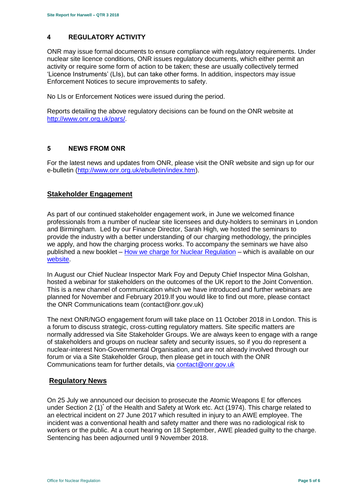## <span id="page-4-0"></span>**4 REGULATORY ACTIVITY**

ONR may issue formal documents to ensure compliance with regulatory requirements. Under nuclear site licence conditions, ONR issues regulatory documents, which either permit an activity or require some form of action to be taken; these are usually collectively termed 'Licence Instruments' (LIs), but can take other forms. In addition, inspectors may issue Enforcement Notices to secure improvements to safety.

No LIs or Enforcement Notices were issued during the period.

Reports detailing the above regulatory decisions can be found on the ONR website at [http://www.onr.org.uk/pars/.](http://www.onr.org.uk/pars/)

## <span id="page-4-1"></span>**5 NEWS FROM ONR**

<span id="page-4-2"></span>For the latest news and updates from ONR, please visit the ONR website and sign up for our e-bulletin [\(http://www.onr.org.uk/ebulletin/index.htm\)](http://www.onr.org.uk/ebulletin/index.htm).

## **Stakeholder Engagement**

As part of our continued stakeholder engagement work, in June we welcomed finance professionals from a number of nuclear site licensees and duty-holders to seminars in London and Birmingham. Led by our Finance Director, Sarah High, we hosted the seminars to provide the industry with a better understanding of our charging methodology, the principles we apply, and how the charging process works. To accompany the seminars we have also published a new booklet – How we charge [for Nuclear Regulation](http://www.onr.org.uk/documents/2018/how-we-charge-for-nuclear-regulation.pdf) – which is available on our [website.](http://www.onr.org.uk/documents/2018/how-we-charge-for-nuclear-regulation.pdf)

In August our Chief Nuclear Inspector Mark Foy and Deputy Chief Inspector Mina Golshan, hosted a webinar for stakeholders on the outcomes of the UK report to the Joint Convention. This is a new channel of communication which we have introduced and further webinars are planned for November and February 2019.If you would like to find out more, please contact the ONR Communications team (contact@onr.gov.uk)

The next ONR/NGO engagement forum will take place on 11 October 2018 in London. This is a forum to discuss strategic, cross-cutting regulatory matters. Site specific matters are normally addressed via Site Stakeholder Groups. We are always keen to engage with a range of stakeholders and groups on nuclear safety and security issues, so if you do represent a nuclear-interest Non-Governmental Organisation, and are not already involved through our forum or via a Site Stakeholder Group, then please get in touch with the ONR Communications team for further details, via [contact@onr.gov.uk](mailto:contact@onr.gov.uk)

## **Regulatory News**

On 25 July we announced our decision to prosecute the Atomic Weapons E for offences under Section 2 (1)<sup>\*</sup> of the Health and Safety at Work etc. Act (1974). This charge related to an electrical incident on 27 June 2017 which resulted in injury to an AWE employee. The incident was a conventional health and safety matter and there was no radiological risk to workers or the public. At a court hearing on 18 September, AWE pleaded guilty to the charge. Sentencing has been adjourned until 9 November 2018.